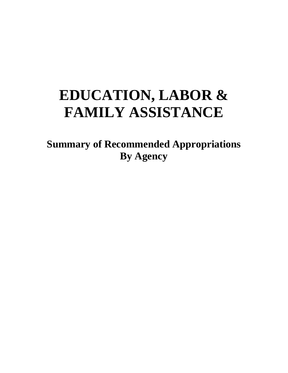# **EDUCATION, LABOR & FAMILY ASSISTANCE**

**Summary of Recommended Appropriations By Agency**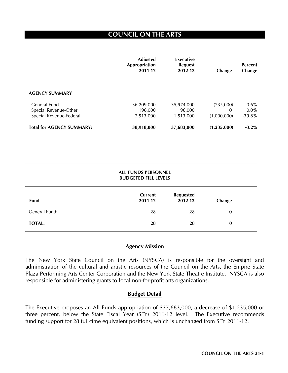# **COUNCIL ON THE ARTS**

 $\overline{a}$ 

|                                  | <b>Adjusted</b><br>Appropriation<br>2011-12 | Executive<br><b>Request</b><br>2012-13 | Change      | <b>Percent</b><br>Change |
|----------------------------------|---------------------------------------------|----------------------------------------|-------------|--------------------------|
| <b>AGENCY SUMMARY</b>            |                                             |                                        |             |                          |
| General Fund                     | 36,209,000                                  | 35,974,000                             | (235,000)   | $-0.6%$                  |
| Special Revenue-Other            | 196,000                                     | 196,000                                | 0           | $0.0\%$                  |
| Special Revenue-Federal          | 2,513,000                                   | 1,513,000                              | (1,000,000) | $-39.8%$                 |
| <b>Total for AGENCY SUMMARY:</b> | 38,918,000                                  | 37,683,000                             | (1,235,000) | $-3.2\%$                 |

#### **ALL FUNDS PERSONNEL BUDGETED FILL LEVELS**

| Fund          | Current<br>2011-12 | <b>Requested</b><br>2012-13 | Change   |
|---------------|--------------------|-----------------------------|----------|
| General Fund: | 28                 | 28                          | 0        |
| <b>TOTAL:</b> | 28                 | 28                          | $\bf{0}$ |

## **Agency Mission**

The New York State Council on the Arts (NYSCA) is responsible for the oversight and administration of the cultural and artistic resources of the Council on the Arts, the Empire State Plaza Performing Arts Center Corporation and the New York State Theatre Institute. NYSCA is also responsible for administering grants to local non-for-profit arts organizations.

## **Budget Detail**

The Executive proposes an All Funds appropriation of \$37,683,000, a decrease of \$1,235,000 or three percent, below the State Fiscal Year (SFY) 2011-12 level. The Executive recommends funding support for 28 full-time equivalent positions, which is unchanged from SFY 2011-12.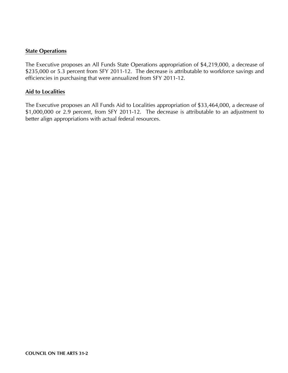## **State Operations**

The Executive proposes an All Funds State Operations appropriation of \$4,219,000, a decrease of \$235,000 or 5.3 percent from SFY 2011-12. The decrease is attributable to workforce savings and efficiencies in purchasing that were annualized from SFY 2011-12.

## **Aid to Localities**

The Executive proposes an All Funds Aid to Localities appropriation of \$33,464,000, a decrease of \$1,000,000 or 2.9 percent, from SFY 2011-12. The decrease is attributable to an adjustment to better align appropriations with actual federal resources.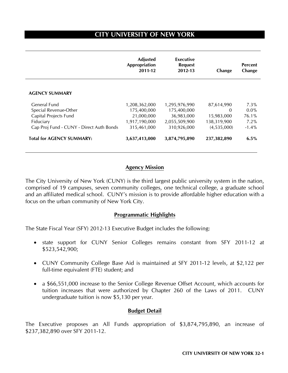# **CITY UNIVERSITY OF NEW YORK**

|                                                                                                                         | <b>Adjusted</b><br>Appropriation<br>2011-12                                | Executive<br><b>Request</b><br>2012-13                                     | Change                                                             | <b>Percent</b><br>Change                       |
|-------------------------------------------------------------------------------------------------------------------------|----------------------------------------------------------------------------|----------------------------------------------------------------------------|--------------------------------------------------------------------|------------------------------------------------|
| <b>AGENCY SUMMARY</b>                                                                                                   |                                                                            |                                                                            |                                                                    |                                                |
| General Fund<br>Special Revenue-Other<br>Capital Projects Fund<br>Fiduciary<br>Cap Proj Fund - CUNY - Direct Auth Bonds | 1,208,362,000<br>175,400,000<br>21,000,000<br>1,917,190,000<br>315,461,000 | 1,295,976,990<br>175,400,000<br>36,983,000<br>2,055,509,900<br>310,926,000 | 87,614,990<br>$\Omega$<br>15,983,000<br>138,319,900<br>(4,535,000) | $7.3\%$<br>$0.0\%$<br>76.1%<br>7.2%<br>$-1.4%$ |
| <b>Total for AGENCY SUMMARY:</b>                                                                                        | 3,637,413,000                                                              | 3,874,795,890                                                              | 237,382,890                                                        | $6.5\%$                                        |

## **Agency Mission**

The City University of New York (CUNY) is the third largest public university system in the nation, comprised of 19 campuses, seven community colleges, one technical college, a graduate school and an affiliated medical school. CUNY's mission is to provide affordable higher education with a focus on the urban community of New York City.

#### **Programmatic Highlights**

The State Fiscal Year (SFY) 2012-13 Executive Budget includes the following:

- state support for CUNY Senior Colleges remains constant from SFY 2011-12 at \$523,542,900;
- CUNY Community College Base Aid is maintained at SFY 2011-12 levels, at \$2,122 per full-time equivalent (FTE) student; and
- a \$66,551,000 increase to the Senior College Revenue Offset Account, which accounts for tuition increases that were authorized by Chapter 260 of the Laws of 2011. CUNY undergraduate tuition is now \$5,130 per year.

#### **Budget Detail**

The Executive proposes an All Funds appropriation of \$3,874,795,890, an increase of \$237,382,890 over SFY 2011-12.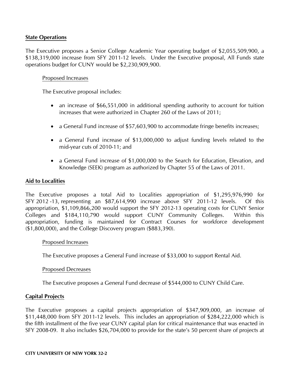## **State Operations**

The Executive proposes a Senior College Academic Year operating budget of \$2,055,509,900, a \$138,319,000 increase from SFY 2011-12 levels. Under the Executive proposal, All Funds state operations budget for CUNY would be \$2,230,909,900.

## Proposed Increases

The Executive proposal includes:

- an increase of \$66,551,000 in additional spending authority to account for tuition increases that were authorized in Chapter 260 of the Laws of 2011;
- a General Fund increase of \$57,603,900 to accommodate fringe benefits increases;
- a General Fund increase of \$13,000,000 to adjust funding levels related to the mid-year cuts of 2010-11; and
- a General Fund increase of \$1,000,000 to the Search for Education, Elevation, and Knowledge (SEEK) program as authorized by Chapter 55 of the Laws of 2011.

## **Aid to Localities**

The Executive proposes a total Aid to Localities appropriation of \$1,295,976,990 for SFY 2012 -13, representing an \$87,614,990 increase above SFY 2011-12 levels. Of this appropriation, \$1,109,866,200 would support the SFY 2012-13 operating costs for CUNY Senior Colleges and \$184,110,790 would support CUNY Community Colleges. Within this appropriation, funding is maintained for Contract Courses for workforce development (\$1,800,000), and the College Discovery program (\$883,390).

#### Proposed Increases

The Executive proposes a General Fund increase of \$33,000 to support Rental Aid.

## Proposed Decreases

The Executive proposes a General Fund decrease of \$544,000 to CUNY Child Care.

## **Capital Projects**

The Executive proposes a capital projects appropriation of \$347,909,000, an increase of \$11,448,000 from SFY 2011-12 levels. This includes an appropriation of \$284,222,000 which is the fifth installment of the five year CUNY capital plan for critical maintenance that was enacted in SFY 2008-09. It also includes \$26,704,000 to provide for the state's 50 percent share of projects at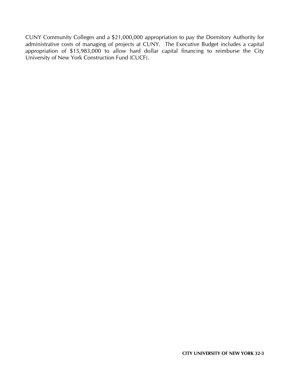CUNY Community Colleges and a \$21,000,000 appropriation to pay the Dormitory Authority for administrative costs of managing of projects at CUNY. The Executive Budget includes a capital appropriation of \$15,983,000 to allow hard dollar capital financing to reimburse the City University of New York Construction Fund (CUCF).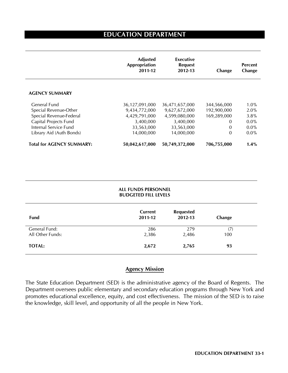# **EDUCATION DEPARTMENT**

|                                  | <b>Adjusted</b><br><b>Appropriation</b><br>2011-12 | Executive<br><b>Request</b><br>2012-13 | Change      | <b>Percent</b><br>Change |
|----------------------------------|----------------------------------------------------|----------------------------------------|-------------|--------------------------|
| <b>AGENCY SUMMARY</b>            |                                                    |                                        |             |                          |
| General Fund                     | 36,127,091,000                                     | 36,471,657,000                         | 344,566,000 | $1.0\%$                  |
| Special Revenue-Other            | 9,434,772,000                                      | 9,627,672,000                          | 192,900,000 | 2.0%                     |
| Special Revenue-Federal          | 4,429,791,000                                      | 4,599,080,000                          | 169,289,000 | 3.8%                     |
| Capital Projects Fund            | 3,400,000                                          | 3,400,000                              | 0           | $0.0\%$                  |
| Internal Service Fund            | 33,563,000                                         | 33,563,000                             | 0           | $0.0\%$                  |
| Library Aid (Auth Bonds)         | 14,000,000                                         | 14,000,000                             | 0           | $0.0\%$                  |
| <b>Total for AGENCY SUMMARY:</b> | 50,042,617,000                                     | 50,749,372,000                         | 706,755,000 | 1.4%                     |

|                                   | <b>ALL FUNDS PERSONNEL</b><br><b>BUDGETED FILL LEVELS</b> |                             |            |  |
|-----------------------------------|-----------------------------------------------------------|-----------------------------|------------|--|
| Fund                              | Current<br>2011-12                                        | <b>Requested</b><br>2012-13 | Change     |  |
| General Fund:<br>All Other Funds: | 286<br>2,386                                              | 279<br>2,486                | (7)<br>100 |  |
| <b>TOTAL:</b>                     | 2,672                                                     | 2,765                       | 93         |  |

## **Agency Mission**

The State Education Department (SED) is the administrative agency of the Board of Regents. The Department oversees public elementary and secondary education programs through New York and promotes educational excellence, equity, and cost effectiveness. The mission of the SED is to raise the knowledge, skill level, and opportunity of all the people in New York.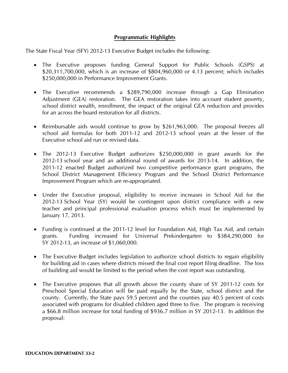## **Programmatic Highlights**

The State Fiscal Year (SFY) 2012-13 Executive Budget includes the following:

- The Executive proposes funding General Support for Public Schools (GSPS) at \$20,311,700,000, which is an increase of \$804,960,000 or 4.13 percent; which includes \$250,000,000 in Performance Improvement Grants.
- The Executive recommends a \$289,790,000 increase through a Gap Elimination Adjustment (GEA) restoration. The GEA restoration takes into account student poverty, school district wealth, enrollment, the impact of the original GEA reduction and provides for an across the board restoration for all districts.
- Reimbursable aids would continue to grow by \$261,963,000. The proposal freezes all school aid formulas for both 2011-12 and 2012-13 school years at the lesser of the Executive school aid run or revised data.
- The 2012-13 Executive Budget authorizes \$250,000,000 in grant awards for the 2012-13 school year and an additional round of awards for 2013-14. In addition, the 2011-12 enacted Budget authorized two competitive performance grant programs, the School District Management Efficiency Program and the School District Performance Improvement Program which are re-appropriated.
- Under the Executive proposal, eligibility to receive increases in School Aid for the 2012-13 School Year (SY) would be contingent upon district compliance with a new teacher and principal professional evaluation process which must be implemented by January 17, 2013.
- Funding is continued at the 2011-12 level for Foundation Aid, High Tax Aid, and certain grants. Funding increased for Universal Prekindergarten to \$384,290,000 for SY 2012-13, an increase of \$1,060,000.
- The Executive Budget includes legislation to authorize school districts to regain eligibility for building aid in cases where districts missed the final cost report filing deadline. The loss of building aid would be limited to the period when the cost report was outstanding.
- The Executive proposes that all growth above the county share of SY 2011-12 costs for Preschool Special Education will be paid equally by the State, school district and the county. Currently, the State pays 59.5 percent and the counties pay 40.5 percent of costs associated with programs for disabled children aged three to five. The program is receiving a \$66.8 million increase for total funding of \$936.7 million in SY 2012-13. In addition the proposal: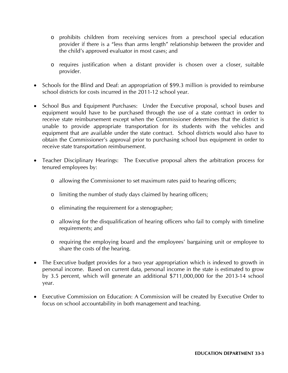- o prohibits children from receiving services from a preschool special education provider if there is a "less than arms length" relationship between the provider and the child's approved evaluator in most cases; and
- o requires justification when a distant provider is chosen over a closer, suitable provider.
- Schools for the Blind and Deaf: an appropriation of \$99.3 million is provided to reimburse school districts for costs incurred in the 2011-12 school year.
- School Bus and Equipment Purchases: Under the Executive proposal, school buses and equipment would have to be purchased through the use of a state contract in order to receive state reimbursement except when the Commissioner determines that the district is unable to provide appropriate transportation for its students with the vehicles and equipment that are available under the state contract. School districts would also have to obtain the Commissioner's approval prior to purchasing school bus equipment in order to receive state transportation reimbursement.
- Teacher Disciplinary Hearings: The Executive proposal alters the arbitration process for tenured employees by:
	- o allowing the Commissioner to set maximum rates paid to hearing officers;
	- o limiting the number of study days claimed by hearing officers;
	- o eliminating the requirement for a stenographer;
	- o allowing for the disqualification of hearing officers who fail to comply with timeline requirements; and
	- o requiring the employing board and the employees' bargaining unit or employee to share the costs of the hearing.
- The Executive budget provides for a two year appropriation which is indexed to growth in personal income. Based on current data, personal income in the state is estimated to grow by 3.5 percent, which will generate an additional \$711,000,000 for the 2013-14 school year.
- Executive Commission on Education: A Commission will be created by Executive Order to focus on school accountability in both management and teaching.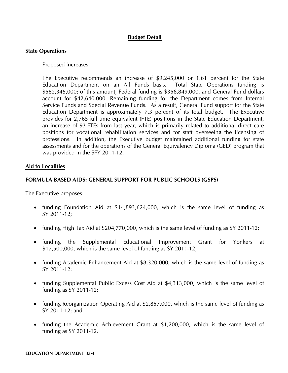## **Budget Detail**

#### **State Operations**

#### Proposed Increases

The Executive recommends an increase of \$9,245,000 or 1.61 percent for the State Education Department on an All Funds basis. Total State Operations funding is \$582,345,000; of this amount, Federal funding is \$356,849,000, and General Fund dollars account for \$42,640,000. Remaining funding for the Department comes from Internal Service Funds and Special Revenue Funds. As a result, General Fund support for the State Education Department is approximately 7.3 percent of its total budget. The Executive provides for 2,765 full time equivalent (FTE) positions in the State Education Department, an increase of 93 FTEs from last year, which is primarily related to additional direct care positions for vocational rehabilitation services and for staff overseeing the licensing of professions. In addition, the Executive budget maintained additional funding for state assessments and for the operations of the General Equivalency Diploma (GED) program that was provided in the SFY 2011-12.

#### **Aid to Localities**

#### **FORMULA BASED AIDS: GENERAL SUPPORT FOR PUBLIC SCHOOLS (GSPS)**

The Executive proposes:

- funding Foundation Aid at \$14,893,624,000, which is the same level of funding as SY 2011-12;
- funding High Tax Aid at \$204,770,000, which is the same level of funding as SY 2011-12;
- funding the Supplemental Educational Improvement Grant for Yonkers at \$17,500,000, which is the same level of funding as SY 2011-12;
- funding Academic Enhancement Aid at \$8,320,000, which is the same level of funding as SY 2011-12;
- funding Supplemental Public Excess Cost Aid at \$4,313,000, which is the same level of funding as SY 2011-12;
- funding Reorganization Operating Aid at \$2,857,000, which is the same level of funding as SY 2011-12; and
- funding the Academic Achievement Grant at \$1,200,000, which is the same level of funding as SY 2011-12.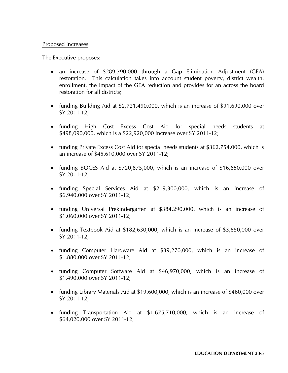#### Proposed Increases

The Executive proposes:

- an increase of \$289,790,000 through a Gap Elimination Adjustment (GEA) restoration. This calculation takes into account student poverty, district wealth, enrollment, the impact of the GEA reduction and provides for an across the board restoration for all districts;
- funding Building Aid at \$2,721,490,000, which is an increase of \$91,690,000 over SY 2011-12;
- funding High Cost Excess Cost Aid for special needs students at \$498,090,000, which is a \$22,920,000 increase over SY 2011-12;
- funding Private Excess Cost Aid for special needs students at \$362,754,000, which is an increase of \$45,610,000 over SY 2011-12;
- funding BOCES Aid at \$720,875,000, which is an increase of \$16,650,000 over SY 2011-12;
- funding Special Services Aid at \$219,300,000, which is an increase of \$6,940,000 over SY 2011-12;
- funding Universal Prekindergarten at \$384,290,000, which is an increase of \$1,060,000 over SY 2011-12;
- funding Textbook Aid at \$182,630,000, which is an increase of \$3,850,000 over SY 2011-12;
- funding Computer Hardware Aid at \$39,270,000, which is an increase of \$1,880,000 over SY 2011-12;
- funding Computer Software Aid at \$46,970,000, which is an increase of \$1,490,000 over SY 2011-12;
- funding Library Materials Aid at \$19,600,000, which is an increase of \$460,000 over SY 2011-12;
- funding Transportation Aid at \$1,675,710,000, which is an increase of \$64,020,000 over SY 2011-12;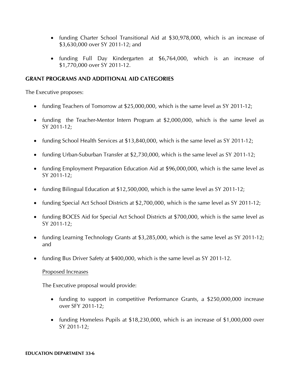- funding Charter School Transitional Aid at \$30,978,000, which is an increase of \$3,630,000 over SY 2011-12; and
- funding Full Day Kindergarten at \$6,764,000, which is an increase of \$1,770,000 over SY 2011-12.

## **GRANT PROGRAMS AND ADDITIONAL AID CATEGORIES**

The Executive proposes:

- funding Teachers of Tomorrow at \$25,000,000, which is the same level as SY 2011-12;
- funding the Teacher-Mentor Intern Program at \$2,000,000, which is the same level as SY 2011-12;
- funding School Health Services at \$13,840,000, which is the same level as SY 2011-12;
- funding Urban-Suburban Transfer at \$2,730,000, which is the same level as SY 2011-12;
- funding Employment Preparation Education Aid at \$96,000,000, which is the same level as SY 2011-12;
- funding Bilingual Education at \$12,500,000, which is the same level as SY 2011-12;
- funding Special Act School Districts at \$2,700,000, which is the same level as SY 2011-12;
- funding BOCES Aid for Special Act School Districts at \$700,000, which is the same level as SY 2011-12;
- funding Learning Technology Grants at \$3,285,000, which is the same level as SY 2011-12; and
- funding Bus Driver Safety at \$400,000, which is the same level as SY 2011-12.

## Proposed Increases

The Executive proposal would provide:

- funding to support in competitive Performance Grants, a \$250,000,000 increase over SFY 2011-12;
- funding Homeless Pupils at \$18,230,000, which is an increase of \$1,000,000 over SY 2011-12;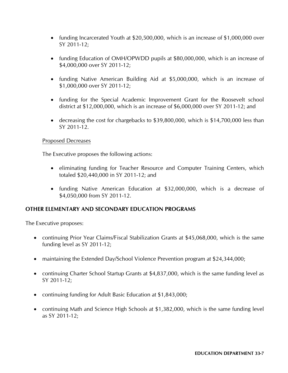- funding Incarcerated Youth at \$20,500,000, which is an increase of \$1,000,000 over SY 2011-12;
- funding Education of OMH/OPWDD pupils at \$80,000,000, which is an increase of \$4,000,000 over SY 2011-12;
- funding Native American Building Aid at \$5,000,000, which is an increase of \$1,000,000 over SY 2011-12;
- funding for the Special Academic Improvement Grant for the Roosevelt school district at \$12,000,000, which is an increase of \$6,000,000 over SY 2011-12; and
- decreasing the cost for chargebacks to \$39,800,000, which is \$14,700,000 less than SY 2011-12.

## Proposed Decreases

The Executive proposes the following actions:

- eliminating funding for Teacher Resource and Computer Training Centers, which totaled \$20,440,000 in SY 2011-12; and
- funding Native American Education at \$32,000,000, which is a decrease of \$4,050,000 from SY 2011-12.

## **OTHER ELEMENTARY AND SECONDARY EDUCATION PROGRAMS**

The Executive proposes:

- continuing Prior Year Claims/Fiscal Stabilization Grants at \$45,068,000, which is the same funding level as SY 2011-12;
- maintaining the Extended Day/School Violence Prevention program at \$24,344,000;
- continuing Charter School Startup Grants at \$4,837,000, which is the same funding level as SY 2011-12;
- continuing funding for Adult Basic Education at \$1,843,000;
- continuing Math and Science High Schools at \$1,382,000, which is the same funding level as SY 2011-12;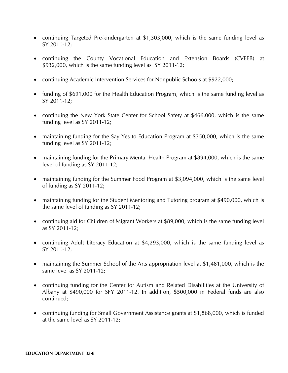- continuing Targeted Pre-kindergarten at \$1,303,000, which is the same funding level as SY 2011-12;
- continuing the County Vocational Education and Extension Boards (CVEEB) at \$932,000, which is the same funding level as SY 2011-12;
- continuing Academic Intervention Services for Nonpublic Schools at \$922,000;
- funding of \$691,000 for the Health Education Program, which is the same funding level as SY 2011-12;
- continuing the New York State Center for School Safety at \$466,000, which is the same funding level as SY 2011-12;
- maintaining funding for the Say Yes to Education Program at \$350,000, which is the same funding level as SY 2011-12;
- maintaining funding for the Primary Mental Health Program at \$894,000, which is the same level of funding as SY 2011-12;
- maintaining funding for the Summer Food Program at \$3,094,000, which is the same level of funding as SY 2011-12;
- maintaining funding for the Student Mentoring and Tutoring program at \$490,000, which is the same level of funding as SY 2011-12;
- continuing aid for Children of Migrant Workers at \$89,000, which is the same funding level as SY 2011-12;
- continuing Adult Literacy Education at \$4,293,000, which is the same funding level as SY 2011-12;
- maintaining the Summer School of the Arts appropriation level at \$1,481,000, which is the same level as SY 2011-12;
- continuing funding for the Center for Autism and Related Disabilities at the University of Albany at \$490,000 for SFY 2011-12. In addition, \$500,000 in Federal funds are also continued;
- continuing funding for Small Government Assistance grants at \$1,868,000, which is funded at the same level as SY 2011-12;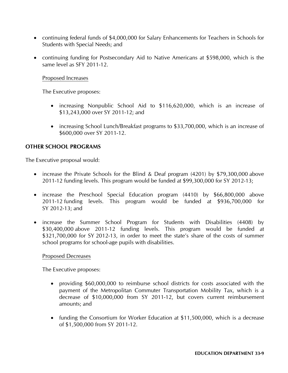- continuing federal funds of \$4,000,000 for Salary Enhancements for Teachers in Schools for Students with Special Needs; and
- continuing funding for Postsecondary Aid to Native Americans at \$598,000, which is the same level as SFY 2011-12.

## Proposed Increases

The Executive proposes:

- increasing Nonpublic School Aid to \$116,620,000, which is an increase of \$13,243,000 over SY 2011-12; and
- increasing School Lunch/Breakfast programs to \$33,700,000, which is an increase of \$600,000 over SY 2011-12.

## **OTHER SCHOOL PROGRAMS**

The Executive proposal would:

- increase the Private Schools for the Blind & Deaf program (4201) by \$79,300,000 above 2011-12 funding levels. This program would be funded at \$99,300,000 for SY 2012-13;
- increase the Preschool Special Education program (4410) by \$66,800,000 above 2011-12 funding levels. This program would be funded at \$936,700,000 for SY 2012-13; and
- increase the Summer School Program for Students with Disabilities (4408) by \$30,400,000 above 2011-12 funding levels. This program would be funded at \$321,700,000 for SY 2012-13, in order to meet the state's share of the costs of summer school programs for school-age pupils with disabilities.

## Proposed Decreases

The Executive proposes:

- providing \$60,000,000 to reimburse school districts for costs associated with the payment of the Metropolitan Commuter Transportation Mobility Tax, which is a decrease of \$10,000,000 from SY 2011-12, but covers current reimbursement amounts; and
- funding the Consortium for Worker Education at \$11,500,000, which is a decrease of \$1,500,000 from SY 2011-12.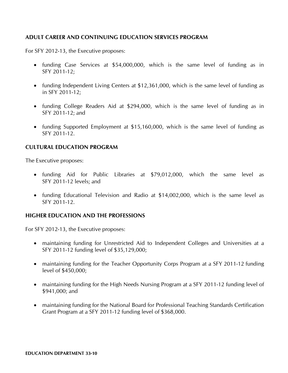## **ADULT CAREER AND CONTINUING EDUCATION SERVICES PROGRAM**

For SFY 2012-13, the Executive proposes:

- funding Case Services at \$54,000,000, which is the same level of funding as in SFY 2011-12;
- funding Independent Living Centers at \$12,361,000, which is the same level of funding as in SFY 2011-12;
- funding College Readers Aid at \$294,000, which is the same level of funding as in SFY 2011-12; and
- funding Supported Employment at \$15,160,000, which is the same level of funding as SFY 2011-12.

## **CULTURAL EDUCATION PROGRAM**

The Executive proposes:

- funding Aid for Public Libraries at \$79,012,000, which the same level as SFY 2011-12 levels; and
- funding Educational Television and Radio at \$14,002,000, which is the same level as SFY 2011-12.

## **HIGHER EDUCATION AND THE PROFESSIONS**

For SFY 2012-13, the Executive proposes:

- maintaining funding for Unrestricted Aid to Independent Colleges and Universities at a SFY 2011-12 funding level of \$35,129,000;
- maintaining funding for the Teacher Opportunity Corps Program at a SFY 2011-12 funding level of \$450,000;
- maintaining funding for the High Needs Nursing Program at a SFY 2011-12 funding level of \$941,000; and
- maintaining funding for the National Board for Professional Teaching Standards Certification Grant Program at a SFY 2011-12 funding level of \$368,000.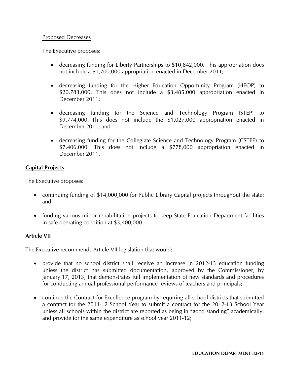## Proposed Decreases

The Executive proposes:

- decreasing funding for Liberty Partnerships to \$10,842,000. This appropriation does not include a \$1,700,000 appropriation enacted in December 2011;
- decreasing funding for the Higher Education Opportunity Program (HEOP) to \$20,783,000. This does not include a \$3,485,000 appropriation enacted in December 2011;
- decreasing funding for the Science and Technology Program (STEP) to \$9,774,000. This does not include the \$1,027,000 appropriation enacted in December 2011; and
- decreasing funding for the Collegiate Science and Technology Program (CSTEP) to \$7,406,000. This does not include a \$778,000 appropriation enacted in December 2011.

## **Capital Projects**

The Executive proposes:

- continuing funding of \$14,000,000 for Public Library Capital projects throughout the state; and
- funding various minor rehabilitation projects to keep State Education Department facilities in safe operating condition at \$3,400,000.

## **Article VII**

The Executive recommends Article VII legislation that would:

- provide that no school district shall receive an increase in 2012-13 education funding unless the district has submitted documentation, approved by the Commissioner, by January 17, 2013, that demonstrates full implementation of new standards and procedures for conducting annual professional performance reviews of teachers and principals;
- continue the Contract for Excellence program by requiring all school districts that submitted a contract for the 2011-12 School Year to submit a contract for the 2012-13 School Year unless all schools within the district are reported as being in "good standing" academically, and provide for the same expenditure as school year 2011-12;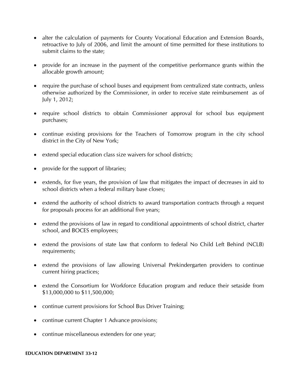- alter the calculation of payments for County Vocational Education and Extension Boards, retroactive to July of 2006, and limit the amount of time permitted for these institutions to submit claims to the state;
- provide for an increase in the payment of the competitive performance grants within the allocable growth amount;
- require the purchase of school buses and equipment from centralized state contracts, unless otherwise authorized by the Commissioner, in order to receive state reimbursement as of July 1, 2012;
- require school districts to obtain Commissioner approval for school bus equipment purchases;
- continue existing provisions for the Teachers of Tomorrow program in the city school district in the City of New York;
- extend special education class size waivers for school districts;
- provide for the support of libraries;
- extends, for five years, the provision of law that mitigates the impact of decreases in aid to school districts when a federal military base closes;
- extend the authority of school districts to award transportation contracts through a request for proposals process for an additional five years;
- extend the provisions of law in regard to conditional appointments of school district, charter school, and BOCES employees;
- extend the provisions of state law that conform to federal No Child Left Behind (NCLB) requirements;
- extend the provisions of law allowing Universal Prekindergarten providers to continue current hiring practices;
- extend the Consortium for Workforce Education program and reduce their setaside from \$13,000,000 to \$11,500,000;
- continue current provisions for School Bus Driver Training;
- continue current Chapter 1 Advance provisions;
- continue miscellaneous extenders for one year;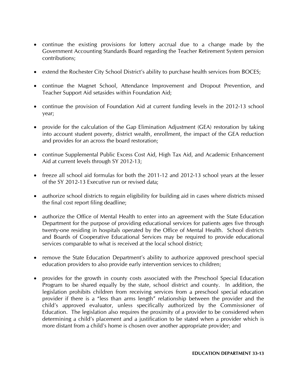- continue the existing provisions for lottery accrual due to a change made by the Government Accounting Standards Board regarding the Teacher Retirement System pension contributions;
- extend the Rochester City School District's ability to purchase health services from BOCES;
- continue the Magnet School, Attendance Improvement and Dropout Prevention, and Teacher Support Aid setasides within Foundation Aid;
- continue the provision of Foundation Aid at current funding levels in the 2012-13 school year;
- provide for the calculation of the Gap Elimination Adjustment (GEA) restoration by taking into account student poverty, district wealth, enrollment, the impact of the GEA reduction and provides for an across the board restoration;
- continue Supplemental Public Excess Cost Aid, High Tax Aid, and Academic Enhancement Aid at current levels through SY 2012-13;
- freeze all school aid formulas for both the 2011-12 and 2012-13 school years at the lesser of the SY 2012-13 Executive run or revised data;
- authorize school districts to regain eligibility for building aid in cases where districts missed the final cost report filing deadline;
- authorize the Office of Mental Health to enter into an agreement with the State Education Department for the purpose of providing educational services for patients ages five through twenty-one residing in hospitals operated by the Office of Mental Health. School districts and Boards of Cooperative Educational Services may be required to provide educational services comparable to what is received at the local school district;
- remove the State Education Department's ability to authorize approved preschool special education providers to also provide early intervention services to children;
- provides for the growth in county costs associated with the Preschool Special Education Program to be shared equally by the state, school district and county. In addition, the legislation prohibits children from receiving services from a preschool special education provider if there is a "less than arms length" relationship between the provider and the child's approved evaluator, unless specifically authorized by the Commissioner of Education. The legislation also requires the proximity of a provider to be considered when determining a child's placement and a justification to be stated when a provider which is more distant from a child's home is chosen over another appropriate provider; and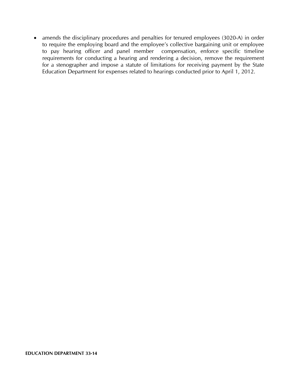• amends the disciplinary procedures and penalties for tenured employees (3020-A) in order to require the employing board and the employee's collective bargaining unit or employee to pay hearing officer and panel member compensation, enforce specific timeline requirements for conducting a hearing and rendering a decision, remove the requirement for a stenographer and impose a statute of limitations for receiving payment by the State Education Department for expenses related to hearings conducted prior to April 1, 2012.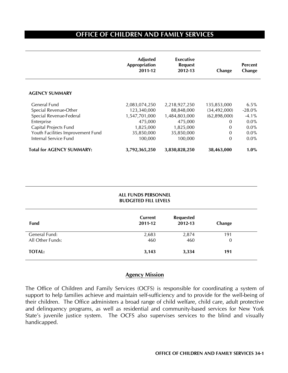# **OFFICE OF CHILDREN AND FAMILY SERVICES**

|                                   | <b>Adjusted</b><br>Appropriation<br>2011-12 | Executive<br><b>Request</b><br>2012-13 | Change         | <b>Percent</b><br>Change |
|-----------------------------------|---------------------------------------------|----------------------------------------|----------------|--------------------------|
| <b>AGENCY SUMMARY</b>             |                                             |                                        |                |                          |
| General Fund                      | 2,083,074,250                               | 2,218,927,250                          | 135,853,000    | 6.5%                     |
| Special Revenue-Other             | 123,340,000                                 | 88,848,000                             | (34, 492, 000) | $-28.0%$                 |
| Special Revenue-Federal           | 1,547,701,000                               | 1,484,803,000                          | (62,898,000)   | $-4.1\%$                 |
| Enterprise                        | 475,000                                     | 475,000                                | 0              | $0.0\%$                  |
| Capital Projects Fund             | 1,825,000                                   | 1,825,000                              | 0              | $0.0\%$                  |
| Youth Facilities Improvement Fund | 35,850,000                                  | 35,850,000                             | $\Omega$       | $0.0\%$                  |
| Internal Service Fund             | 100,000                                     | 100,000                                | $\Omega$       | $0.0\%$                  |
| <b>Total for AGENCY SUMMARY:</b>  | 3,792,365,250                               | 3,830,828,250                          | 38,463,000     | $1.0\%$                  |

|                                   | <b>ALL FUNDS PERSONNEL</b><br><b>BUDGETED FILL LEVELS</b> |                             |                       |  |
|-----------------------------------|-----------------------------------------------------------|-----------------------------|-----------------------|--|
| Fund                              | Current<br>2011-12                                        | <b>Requested</b><br>2012-13 | Change                |  |
| General Fund:<br>All Other Funds: | 2,683<br>460                                              | 2,874<br>460                | 191<br>$\overline{0}$ |  |
| <b>TOTAL:</b>                     | 3,143                                                     | 3,334                       | 191                   |  |

## **Agency Mission**

The Office of Children and Family Services (OCFS) is responsible for coordinating a system of support to help families achieve and maintain self-sufficiency and to provide for the well-being of their children. The Office administers a broad range of child welfare, child care, adult protective and delinquency programs, as well as residential and community-based services for New York State's juvenile justice system. The OCFS also supervises services to the blind and visually handicapped.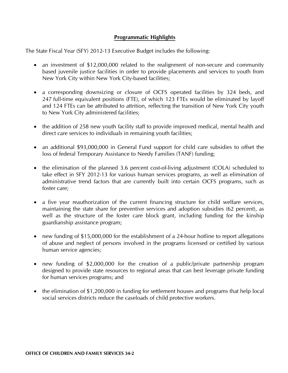## **Programmatic Highlights**

The State Fiscal Year (SFY) 2012-13 Executive Budget includes the following:

- an investment of \$12,000,000 related to the realignment of non-secure and community based juvenile justice facilities in order to provide placements and services to youth from New York City within New York City-based facilities;
- a corresponding downsizing or closure of OCFS operated facilities by 324 beds, and 247 full-time equivalent positions (FTE), of which 123 FTEs would be eliminated by layoff and 124 FTEs can be attributed to attrition, reflecting the transition of New York City youth to New York City administered facilities;
- the addition of 258 new youth facility staff to provide improved medical, mental health and direct care services to individuals in remaining youth facilities;
- an additional \$93,000,000 in General Fund support for child care subsidies to offset the loss of federal Temporary Assistance to Needy Families (TANF) funding;
- the elimination of the planned 3.6 percent cost-of-living adjustment (COLA) scheduled to take effect in SFY 2012-13 for various human services programs, as well as elimination of administrative trend factors that are currently built into certain OCFS programs, such as foster care;
- a five year reauthorization of the current financing structure for child welfare services, maintaining the state share for preventive services and adoption subsidies (62 percent), as well as the structure of the foster care block grant, including funding for the kinship guardianship assistance program;
- new funding of \$15,000,000 for the establishment of a 24-hour hotline to report allegations of abuse and neglect of persons involved in the programs licensed or certified by various human service agencies;
- new funding of \$2,000,000 for the creation of a public/private partnership program designed to provide state resources to regional areas that can best leverage private funding for human services programs; and
- the elimination of \$1,200,000 in funding for settlement houses and programs that help local social services districts reduce the caseloads of child protective workers.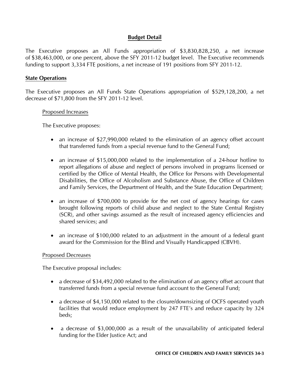## **Budget Detail**

The Executive proposes an All Funds appropriation of \$3,830,828,250, a net increase of \$38,463,000, or one percent, above the SFY 2011-12 budget level. The Executive recommends funding to support 3,334 FTE positions, a net increase of 191 positions from SFY 2011-12.

#### **State Operations**

The Executive proposes an All Funds State Operations appropriation of \$529,128,200, a net decrease of \$71,800 from the SFY 2011-12 level.

#### Proposed Increases

The Executive proposes:

- an increase of \$27,990,000 related to the elimination of an agency offset account that transferred funds from a special revenue fund to the General Fund;
- an increase of \$15,000,000 related to the implementation of a 24-hour hotline to report allegations of abuse and neglect of persons involved in programs licensed or certified by the Office of Mental Health, the Office for Persons with Developmental Disabilities, the Office of Alcoholism and Substance Abuse, the Office of Children and Family Services, the Department of Health, and the State Education Department;
- an increase of \$700,000 to provide for the net cost of agency hearings for cases brought following reports of child abuse and neglect to the State Central Registry (SCR), and other savings assumed as the result of increased agency efficiencies and shared services; and
- an increase of \$100,000 related to an adjustment in the amount of a federal grant award for the Commission for the Blind and Visually Handicapped (CBVH).

#### Proposed Decreases

The Executive proposal includes:

- a decrease of \$34,492,000 related to the elimination of an agency offset account that transferred funds from a special revenue fund account to the General Fund;
- a decrease of \$4,150,000 related to the closure/downsizing of OCFS operated youth facilities that would reduce employment by 247 FTE's and reduce capacity by 324 beds;
- a decrease of \$3,000,000 as a result of the unavailability of anticipated federal funding for the Elder Justice Act; and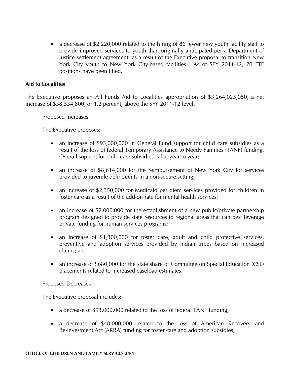• a decrease of \$2,220,000 related to the hiring of 86 fewer new youth facility staff to provide improved services to youth than originally anticipated per a Department of Justice settlement agreement, as a result of the Executive proposal to transition New York City youth to New York City-based facilities. As of SFY 2011-12, 70 FTE positions have been filled.

## **Aid to Localities**

The Executive proposes an All Funds Aid to Localities appropriation of \$3,264,025,050, a net increase of \$38,534,800, or 1.2 percent, above the SFY 2011-12 level.

## Proposed Increases

The Executive proposes:

- an increase of \$93,000,000 in General Fund support for child care subsidies as a result of the loss of federal Temporary Assistance to Needy Families (TANF) funding. Overall support for child care subsidies is flat year-to-year;
- an increase of \$8,614,000 for the reimbursement of New York City for services provided to juvenile delinquents in a non-secure setting;
- an increase of \$2,350,000 for Medicaid per diem services provided for children in foster care as a result of the add-on rate for mental health services;
- an increase of \$2,000,000 for the establishment of a new public/private partnership program designed to provide state resources to regional areas that can best leverage private funding for human services programs;
- an increase of \$1,300,000 for foster care, adult and child protective services, preventive and adoption services provided by Indian tribes based on increased claims; and
- an increase of \$680,000 for the state share of Committee on Special Education (CSE) placements related to increased caseload estimates.

#### Proposed Decreases

The Executive proposal includes:

- a decrease of \$93,000,000 related to the loss of federal TANF funding;
- a decrease of \$48,000,000 related to the loss of American Recovery and Re-investment Act (ARRA) funding for foster care and adoption subsidies;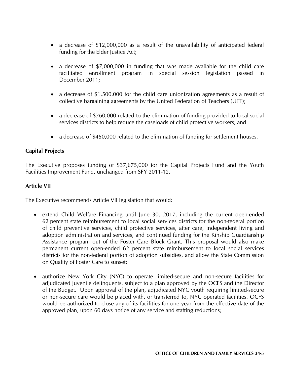- a decrease of \$12,000,000 as a result of the unavailability of anticipated federal funding for the Elder Justice Act;
- a decrease of \$7,000,000 in funding that was made available for the child care facilitated enrollment program in special session legislation passed in December 2011;
- a decrease of \$1,500,000 for the child care unionization agreements as a result of collective bargaining agreements by the United Federation of Teachers (UFT);
- a decrease of \$760,000 related to the elimination of funding provided to local social services districts to help reduce the caseloads of child protective workers; and
- a decrease of \$450,000 related to the elimination of funding for settlement houses.

## **Capital Projects**

The Executive proposes funding of \$37,675,000 for the Capital Projects Fund and the Youth Facilities Improvement Fund, unchanged from SFY 2011-12.

## **Article VII**

The Executive recommends Article VII legislation that would:

- extend Child Welfare Financing until June 30, 2017, including the current open-ended 62 percent state reimbursement to local social services districts for the non-federal portion of child preventive services, child protective services, after care, independent living and adoption administration and services, and continued funding for the Kinship Guardianship Assistance program out of the Foster Care Block Grant. This proposal would also make permanent current open-ended 62 percent state reimbursement to local social services districts for the non-federal portion of adoption subsidies, and allow the State Commission on Quality of Foster Care to sunset;
- authorize New York City (NYC) to operate limited-secure and non-secure facilities for adjudicated juvenile delinquents, subject to a plan approved by the OCFS and the Director of the Budget. Upon approval of the plan, adjudicated NYC youth requiring limited-secure or non-secure care would be placed with, or transferred to, NYC operated facilities. OCFS would be authorized to close any of its facilities for one year from the effective date of the approved plan, upon 60 days notice of any service and staffing reductions;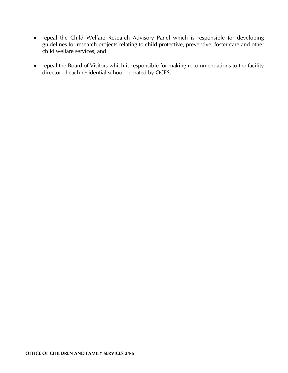- repeal the Child Welfare Research Advisory Panel which is responsible for developing guidelines for research projects relating to child protective, preventive, foster care and other child welfare services; and
- repeal the Board of Visitors which is responsible for making recommendations to the facility director of each residential school operated by OCFS.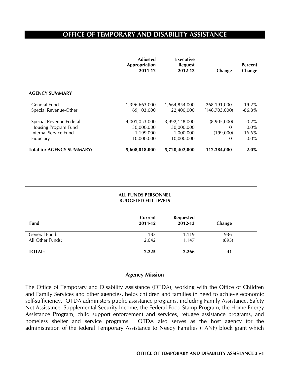# **OFFICE OF TEMPORARY AND DISABILITY ASSISTANCE**

|                                                                                       | <b>Adjusted</b><br>Appropriation<br>2011-12            | Executive<br><b>Request</b><br>2012-13                 | Change                                    | <b>Percent</b><br>Change                  |
|---------------------------------------------------------------------------------------|--------------------------------------------------------|--------------------------------------------------------|-------------------------------------------|-------------------------------------------|
| <b>AGENCY SUMMARY</b>                                                                 |                                                        |                                                        |                                           |                                           |
| General Fund<br>Special Revenue-Other                                                 | 1,396,663,000<br>169,103,000                           | 1,664,854,000<br>22,400,000                            | 268,191,000<br>(146, 703, 000)            | $19.2\%$<br>$-86.8\%$                     |
| Special Revenue-Federal<br>Housing Program Fund<br>Internal Service Fund<br>Fiduciary | 4,001,053,000<br>30,000,000<br>1,199,000<br>10,000,000 | 3,992,148,000<br>30,000,000<br>1,000,000<br>10,000,000 | (8,905,000)<br>0<br>(199,000)<br>$\Omega$ | $-0.2%$<br>$0.0\%$<br>$-16.6%$<br>$0.0\%$ |
| <b>Total for AGENCY SUMMARY:</b>                                                      | 5,608,018,000                                          | 5,720,402,000                                          | 112,384,000                               | 2.0%                                      |

|                                   | <b>ALL FUNDS PERSONNEL</b><br><b>BUDGETED FILL LEVELS</b> |                             |              |  |
|-----------------------------------|-----------------------------------------------------------|-----------------------------|--------------|--|
| Fund                              | Current<br>2011-12                                        | <b>Requested</b><br>2012-13 | Change       |  |
| General Fund:<br>All Other Funds: | 183<br>2,042                                              | 1,119<br>1,147              | 936<br>(895) |  |
| <b>TOTAL:</b>                     | 2,225                                                     | 2,266                       | 41           |  |

## **Agency Mission**

The Office of Temporary and Disability Assistance (OTDA), working with the Office of Children and Family Services and other agencies, helps children and families in need to achieve economic self-sufficiency. OTDA administers public assistance programs, including Family Assistance, Safety Net Assistance, Supplemental Security Income, the Federal Food Stamp Program, the Home Energy Assistance Program, child support enforcement and services, refugee assistance programs, and homeless shelter and service programs. OTDA also serves as the host agency for the administration of the federal Temporary Assistance to Needy Families (TANF) block grant which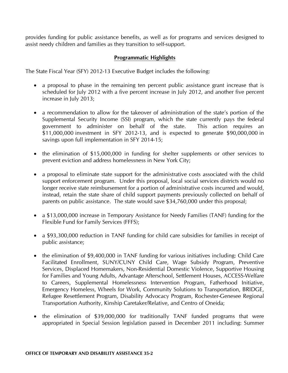provides funding for public assistance benefits, as well as for programs and services designed to assist needy children and families as they transition to self-support.

## **Programmatic Highlights**

The State Fiscal Year (SFY) 2012-13 Executive Budget includes the following:

- a proposal to phase in the remaining ten percent public assistance grant increase that is scheduled for July 2012 with a five percent increase in July 2012, and another five percent increase in July 2013;
- a recommendation to allow for the takeover of administration of the state's portion of the Supplemental Security Income (SSI) program, which the state currently pays the federal government to administer on behalf of the state. This action requires an \$11,000,000 investment in SFY 2012-13, and is expected to generate \$90,000,000 in savings upon full implementation in SFY 2014-15;
- the elimination of \$15,000,000 in funding for shelter supplements or other services to prevent eviction and address homelessness in New York City;
- a proposal to eliminate state support for the administrative costs associated with the child support enforcement program. Under this proposal, local social services districts would no longer receive state reimbursement for a portion of administrative costs incurred and would, instead, retain the state share of child support payments previously collected on behalf of parents on public assistance. The state would save \$34,760,000 under this proposal;
- a \$13,000,000 increase in Temporary Assistance for Needy Families (TANF) funding for the Flexible Fund for Family Services (FFFS);
- a \$93,300,000 reduction in TANF funding for child care subsidies for families in receipt of public assistance;
- the elimination of \$9,400,000 in TANF funding for various initiatives including: Child Care Facilitated Enrollment, SUNY/CUNY Child Care, Wage Subsidy Program, Preventive Services, Displaced Homemakers, Non-Residential Domestic Violence, Supportive Housing for Families and Young Adults, Advantage Afterschool, Settlement Houses, ACCESS-Welfare to Careers, Supplemental Homelessness Intervention Program, Fatherhood Initiative, Emergency Homeless, Wheels for Work, Community Solutions to Transportation, BRIDGE, Refugee Resettlement Program, Disability Advocacy Program, Rochester-Genesee Regional Transportation Authority, Kinship Caretaker/Relative, and Centro of Oneida;
- the elimination of \$39,000,000 for traditionally TANF funded programs that were appropriated in Special Session legislation passed in December 2011 including: Summer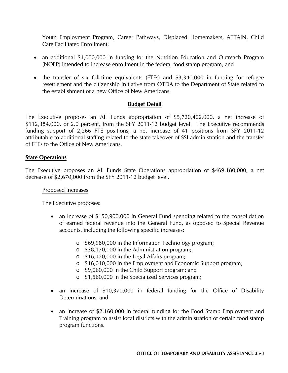Youth Employment Program, Career Pathways, Displaced Homemakers, ATTAIN, Child Care Facilitated Enrollment;

- an additional \$1,000,000 in funding for the Nutrition Education and Outreach Program (NOEP) intended to increase enrollment in the federal food stamp program; and
- the transfer of six full-time equivalents (FTEs) and \$3,340,000 in funding for refugee resettlement and the citizenship initiative from OTDA to the Department of State related to the establishment of a new Office of New Americans.

## **Budget Detail**

The Executive proposes an All Funds appropriation of \$5,720,402,000, a net increase of \$112,384,000, or 2.0 percent, from the SFY 2011-12 budget level. The Executive recommends funding support of 2,266 FTE positions, a net increase of 41 positions from SFY 2011-12 attributable to additional staffing related to the state takeover of SSI administration and the transfer of FTEs to the Office of New Americans.

## **State Operations**

The Executive proposes an All Funds State Operations appropriation of \$469,180,000, a net decrease of \$2,670,000 from the SFY 2011-12 budget level.

## Proposed Increases

The Executive proposes:

- an increase of \$150,900,000 in General Fund spending related to the consolidation of earned federal revenue into the General Fund, as opposed to Special Revenue accounts, including the following specific increases:
	- o \$69,980,000 in the Information Technology program;
	- o \$38,170,000 in the Administration program;
	- o \$16,120,000 in the Legal Affairs program;
	- o \$16,010,000 in the Employment and Economic Support program;
	- o \$9,060,000 in the Child Support program; and
	- o \$1,560,000 in the Specialized Services program;
- an increase of \$10,370,000 in federal funding for the Office of Disability Determinations; and
- an increase of \$2,160,000 in federal funding for the Food Stamp Employment and Training program to assist local districts with the administration of certain food stamp program functions.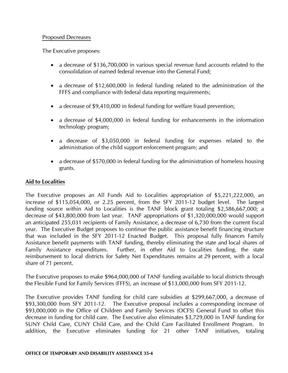## Proposed Decreases

The Executive proposes:

- a decrease of \$136,700,000 in various special revenue fund accounts related to the consolidation of earned federal revenue into the General Fund;
- a decrease of \$12,600,000 in federal funding related to the administration of the FFFS and compliance with federal data reporting requirements;
- a decrease of \$9,410,000 in federal funding for welfare fraud prevention;
- a decrease of \$4,000,000 in federal funding for enhancements in the information technology program;
- a decrease of \$3,050,000 in federal funding for expenses related to the administration of the child support enforcement program; and
- a decrease of \$570,000 in federal funding for the administration of homeless housing grants.

## **Aid to Localities**

The Executive proposes an All Funds Aid to Localities appropriation of \$5,221,222,000, an increase of \$115,054,000, or 2.25 percent, from the SFY 2011-12 budget level. The largest funding source within Aid to Localities is the TANF block grant totaling \$2,586,667,000; a decrease of \$43,800,000 from last year. TANF appropriations of \$1,320,000,000 would support an anticipated 255,031 recipients of Family Assistance, a decrease of 6,730 from the current fiscal year. The Executive Budget proposes to continue the public assistance benefit financing structure that was included in the SFY 2011-12 Enacted Budget. This proposal fully finances Family Assistance benefit payments with TANF funding, thereby eliminating the state and local shares of Family Assistance expenditures. Further, in other Aid to Localities funding, the state reimbursement to local districts for Safety Net Expenditures remains at 29 percent, with a local share of 71 percent.

The Executive proposes to make \$964,000,000 of TANF funding available to local districts through the Flexible Fund for Family Services (FFFS), an increase of \$13,000,000 from SFY 2011-12.

The Executive provides TANF funding for child care subsidies at \$299,667,000, a decrease of \$93,300,000 from SFY 2011-12. The Executive proposal includes a corresponding increase of \$93,000,000 in the Office of Children and Family Services (OCFS) General Fund to offset this decrease in funding for child care. The Executive also eliminates \$3,729,000 in TANF funding for SUNY Child Care, CUNY Child Care, and the Child Care Facilitated Enrollment Program. In addition, the Executive eliminates funding for 21 other TANF initiatives, totaling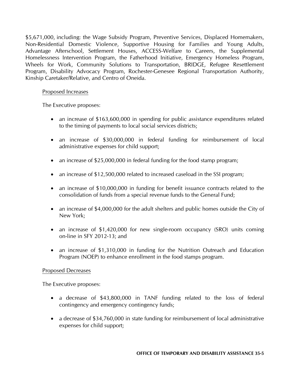\$5,671,000, including: the Wage Subsidy Program, Preventive Services, Displaced Homemakers, Non-Residential Domestic Violence, Supportive Housing for Families and Young Adults, Advantage Afterschool, Settlement Houses, ACCESS-Welfare to Careers, the Supplemental Homelessness Intervention Program, the Fatherhood Initiative, Emergency Homeless Program, Wheels for Work, Community Solutions to Transportation, BRIDGE, Refugee Resettlement Program, Disability Advocacy Program, Rochester-Genesee Regional Transportation Authority, Kinship Caretaker/Relative, and Centro of Oneida.

## Proposed Increases

The Executive proposes:

- an increase of \$163,600,000 in spending for public assistance expenditures related to the timing of payments to local social services districts;
- an increase of \$30,000,000 in federal funding for reimbursement of local administrative expenses for child support;
- an increase of \$25,000,000 in federal funding for the food stamp program;
- an increase of \$12,500,000 related to increased caseload in the SSI program;
- an increase of \$10,000,000 in funding for benefit issuance contracts related to the consolidation of funds from a special revenue funds to the General Fund;
- an increase of \$4,000,000 for the adult shelters and public homes outside the City of New York;
- an increase of \$1,420,000 for new single-room occupancy (SRO) units coming on-line in SFY 2012-13; and
- an increase of \$1,310,000 in funding for the Nutrition Outreach and Education Program (NOEP) to enhance enrollment in the food stamps program.

#### Proposed Decreases

The Executive proposes:

- a decrease of \$43,800,000 in TANF funding related to the loss of federal contingency and emergency contingency funds;
- a decrease of \$34,760,000 in state funding for reimbursement of local administrative expenses for child support;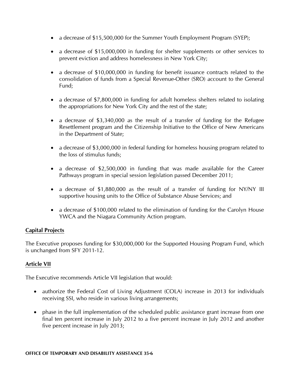- a decrease of \$15,500,000 for the Summer Youth Employment Program (SYEP);
- a decrease of \$15,000,000 in funding for shelter supplements or other services to prevent eviction and address homelessness in New York City;
- a decrease of \$10,000,000 in funding for benefit issuance contracts related to the consolidation of funds from a Special Revenue-Other (SRO) account to the General Fund;
- a decrease of \$7,800,000 in funding for adult homeless shelters related to isolating the appropriations for New York City and the rest of the state;
- a decrease of \$3,340,000 as the result of a transfer of funding for the Refugee Resettlement program and the Citizenship Initiative to the Office of New Americans in the Department of State;
- a decrease of \$3,000,000 in federal funding for homeless housing program related to the loss of stimulus funds;
- a decrease of \$2,500,000 in funding that was made available for the Career Pathways program in special session legislation passed December 2011;
- a decrease of \$1,880,000 as the result of a transfer of funding for NY/NY III supportive housing units to the Office of Substance Abuse Services; and
- a decrease of \$100,000 related to the elimination of funding for the Carolyn House YWCA and the Niagara Community Action program.

## **Capital Projects**

The Executive proposes funding for \$30,000,000 for the Supported Housing Program Fund, which is unchanged from SFY 2011-12.

## **Article VII**

The Executive recommends Article VII legislation that would:

- authorize the Federal Cost of Living Adjustment (COLA) increase in 2013 for individuals receiving SSI, who reside in various living arrangements;
- phase in the full implementation of the scheduled public assistance grant increase from one final ten percent increase in July 2012 to a five percent increase in July 2012 and another five percent increase in July 2013;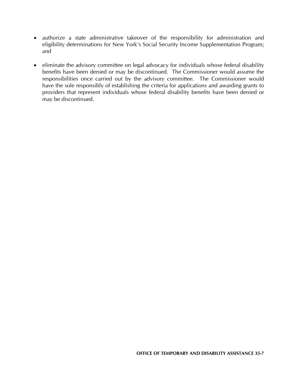- authorize a state administrative takeover of the responsibility for administration and eligibility determinations for New York's Social Security Income Supplementation Program; and
- eliminate the advisory committee on legal advocacy for individuals whose federal disability benefits have been denied or may be discontinued. The Commissioner would assume the responsibilities once carried out by the advisory committee. The Commissioner would have the sole responsibly of establishing the criteria for applications and awarding grants to providers that represent individuals whose federal disability benefits have been denied or may be discontinued.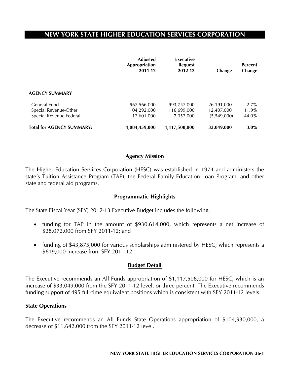# **NEW YORK STATE HIGHER EDUCATION SERVICES CORPORATION**

|                                                                  | <b>Adjusted</b><br>Appropriation<br>2011-12 | Executive<br><b>Request</b><br>2012-13  | Change                                  | <b>Percent</b><br>Change   |
|------------------------------------------------------------------|---------------------------------------------|-----------------------------------------|-----------------------------------------|----------------------------|
| <b>AGENCY SUMMARY</b>                                            |                                             |                                         |                                         |                            |
| General Fund<br>Special Revenue-Other<br>Special Revenue-Federal | 967,566,000<br>104,292,000<br>12,601,000    | 993,757,000<br>116,699,000<br>7,052,000 | 26,191,000<br>12,407,000<br>(5,549,000) | 2.7%<br>11.9%<br>$-44.0\%$ |
| <b>Total for AGENCY SUMMARY:</b>                                 | 1,084,459,000                               | 1,117,508,000                           | 33,049,000                              | 3.0%                       |

## **Agency Mission**

The Higher Education Services Corporation (HESC) was established in 1974 and administers the state's Tuition Assistance Program (TAP), the Federal Family Education Loan Program, and other state and federal aid programs.

## **Programmatic Highlights**

The State Fiscal Year (SFY) 2012-13 Executive Budget includes the following:

- funding for TAP in the amount of \$930,614,000, which represents a net increase of \$28,072,000 from SFY 2011-12; and
- funding of \$43,875,000 for various scholarships administered by HESC, which represents a \$619,000 increase from SFY 2011-12.

## **Budget Detail**

The Executive recommends an All Funds appropriation of \$1,117,508,000 for HESC, which is an increase of \$33,049,000 from the SFY 2011-12 level, or three percent. The Executive recommends funding support of 495 full-time equivalent positions which is consistent with SFY 2011-12 levels.

#### **State Operations**

The Executive recommends an All Funds State Operations appropriation of \$104,930,000, a decrease of \$11,642,000 from the SFY 2011-12 level.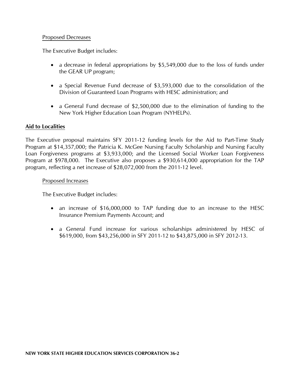## Proposed Decreases

The Executive Budget includes:

- a decrease in federal appropriations by \$5,549,000 due to the loss of funds under the GEAR UP program;
- a Special Revenue Fund decrease of \$3,593,000 due to the consolidation of the Division of Guaranteed Loan Programs with HESC administration; and
- a General Fund decrease of \$2,500,000 due to the elimination of funding to the New York Higher Education Loan Program (NYHELPs).

## **Aid to Localities**

The Executive proposal maintains SFY 2011-12 funding levels for the Aid to Part-Time Study Program at \$14,357,000; the Patricia K. McGee Nursing Faculty Scholarship and Nursing Faculty Loan Forgiveness programs at \$3,933,000; and the Licensed Social Worker Loan Forgiveness Program at \$978,000. The Executive also proposes a \$930,614,000 appropriation for the TAP program, reflecting a net increase of \$28,072,000 from the 2011-12 level.

## Proposed Increases

The Executive Budget includes:

- an increase of \$16,000,000 to TAP funding due to an increase to the HESC Insurance Premium Payments Account; and
- a General Fund increase for various scholarships administered by HESC of \$619,000, from \$43,256,000 in SFY 2011-12 to \$43,875,000 in SFY 2012-13.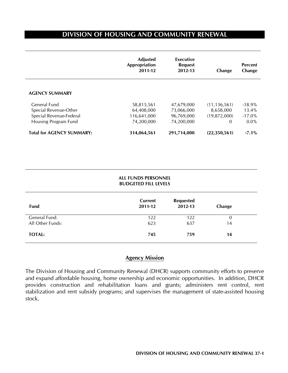# **DIVISION OF HOUSING AND COMMUNITY RENEWAL**

 $\overline{a}$ 

|                                  | <b>Adjusted</b><br>Appropriation<br>2011-12 | Executive<br><b>Request</b><br>2012-13 | Change         | <b>Percent</b><br>Change |
|----------------------------------|---------------------------------------------|----------------------------------------|----------------|--------------------------|
| <b>AGENCY SUMMARY</b>            |                                             |                                        |                |                          |
| General Fund                     | 58,815,561                                  | 47,679,000                             | (11, 136, 561) | $-18.9\%$                |
| Special Revenue-Other            | 64,408,000                                  | 73,066,000                             | 8,658,000      | $13.4\%$                 |
| Special Revenue-Federal          | 116,641,000                                 | 96,769,000                             | (19,872,000)   | $-17.0\%$                |
| Housing Program Fund             | 74,200,000                                  | 74,200,000                             | 0              | $0.0\%$                  |
| <b>Total for AGENCY SUMMARY:</b> | 314,064,561                                 | 291,714,000                            | (22,350,561)   | $-7.1\%$                 |

| <b>ALL FUNDS PERSONNEL</b>  |  |
|-----------------------------|--|
| <b>BUDGETED FILL LEVELS</b> |  |

| <b>Fund</b>      | <b>Current</b><br>2011-12 | <b>Requested</b><br>2012-13 | Change |
|------------------|---------------------------|-----------------------------|--------|
| General Fund:    | 122                       | 122                         | 0      |
| All Other Funds: | 623                       | 637                         | 14     |
| <b>TOTAL:</b>    | 745                       | 759                         | 14     |

## **Agency Mission**

The Division of Housing and Community Renewal (DHCR) supports community efforts to preserve and expand affordable housing, home ownership and economic opportunities. In addition, DHCR provides construction and rehabilitation loans and grants; administers rent control, rent stabilization and rent subsidy programs; and supervises the management of state-assisted housing stock.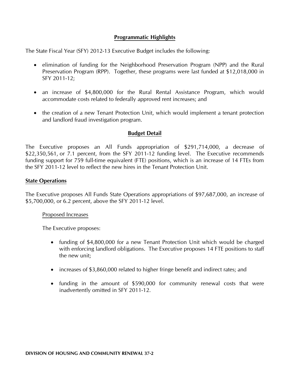## **Programmatic Highlights**

The State Fiscal Year (SFY) 2012-13 Executive Budget includes the following:

- elimination of funding for the Neighborhood Preservation Program (NPP) and the Rural Preservation Program (RPP). Together, these programs were last funded at \$12,018,000 in SFY 2011-12;
- an increase of \$4,800,000 for the Rural Rental Assistance Program, which would accommodate costs related to federally approved rent increases; and
- the creation of a new Tenant Protection Unit, which would implement a tenant protection and landlord fraud investigation program.

## **Budget Detail**

The Executive proposes an All Funds appropriation of \$291,714,000, a decrease of \$22,350,561, or 7.1 percent, from the SFY 2011-12 funding level. The Executive recommends funding support for 759 full-time equivalent (FTE) positions, which is an increase of 14 FTEs from the SFY 2011-12 level to reflect the new hires in the Tenant Protection Unit.

## **State Operations**

The Executive proposes All Funds State Operations appropriations of \$97,687,000, an increase of \$5,700,000, or 6.2 percent, above the SFY 2011-12 level.

#### Proposed Increases

The Executive proposes:

- funding of \$4,800,000 for a new Tenant Protection Unit which would be charged with enforcing landlord obligations. The Executive proposes 14 FTE positions to staff the new unit;
- increases of \$3,860,000 related to higher fringe benefit and indirect rates; and
- funding in the amount of \$590,000 for community renewal costs that were inadvertently omitted in SFY 2011-12.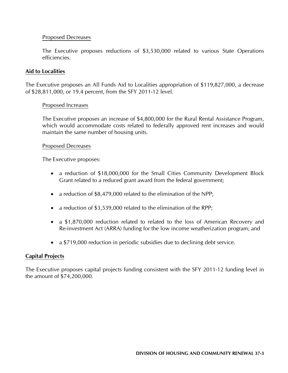## Proposed Decreases

The Executive proposes reductions of \$3,530,000 related to various State Operations efficiencies.

## **Aid to Localities**

The Executive proposes an All Funds Aid to Localities appropriation of \$119,827,000, a decrease of \$28,811,000, or 19.4 percent, from the SFY 2011-12 level.

## Proposed Increases

The Executive proposes an increase of \$4,800,000 for the Rural Rental Assistance Program, which would accommodate costs related to federally approved rent increases and would maintain the same number of housing units.

## Proposed Decreases

The Executive proposes:

- a reduction of \$18,000,000 for the Small Cities Community Development Block Grant related to a reduced grant award from the federal government;
- a reduction of \$8,479,000 related to the elimination of the NPP;
- a reduction of \$3,539,000 related to the elimination of the RPP;
- a \$1,870,000 reduction related to related to the loss of American Recovery and Re-investment Act (ARRA) funding for the low income weatherization program; and
- a \$719,000 reduction in periodic subsidies due to declining debt service.

## **Capital Projects**

The Executive proposes capital projects funding consistent with the SFY 2011-12 funding level in the amount of \$74,200,000.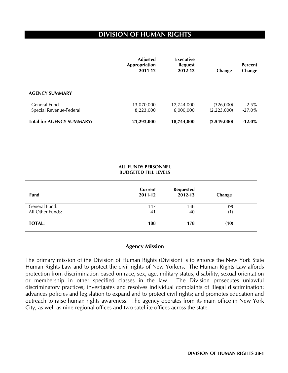# **DIVISION OF HUMAN RIGHTS**

 $\overline{a}$ 

|                                         | <b>Adjusted</b><br>Appropriation<br>2011-12 | Executive<br><b>Request</b><br>2012-13 | Change                   | <b>Percent</b><br>Change |
|-----------------------------------------|---------------------------------------------|----------------------------------------|--------------------------|--------------------------|
| <b>AGENCY SUMMARY</b>                   |                                             |                                        |                          |                          |
| General Fund<br>Special Revenue-Federal | 13,070,000<br>8,223,000                     | 12,744,000<br>6,000,000                | (326,000)<br>(2,223,000) | $-2.5%$<br>$-27.0\%$     |
| <b>Total for AGENCY SUMMARY:</b>        | 21,293,000                                  | 18,744,000                             | (2,549,000)              | $-12.0\%$                |

#### **ALL FUNDS PERSONNEL BUDGETED FILL LEVELS**

| <b>Fund</b>      | <b>Current</b><br>2011-12 | <b>Requested</b><br>2012-13 | Change |
|------------------|---------------------------|-----------------------------|--------|
| General Fund:    | 147                       | 138                         | (9)    |
| All Other Funds: | 41                        | 40                          | (1)    |
| <b>TOTAL:</b>    | 188                       | 178                         | (10)   |

## **Agency Mission**

The primary mission of the Division of Human Rights (Division) is to enforce the New York State Human Rights Law and to protect the civil rights of New Yorkers. The Human Rights Law affords protection from discrimination based on race, sex, age, military status, disability, sexual orientation or membership in other specified classes in the law. The Division prosecutes unlawful discriminatory practices; investigates and resolves individual complaints of illegal discrimination; advances policies and legislation to expand and to protect civil rights; and promotes education and outreach to raise human rights awareness. The agency operates from its main office in New York City, as well as nine regional offices and two satellite offices across the state.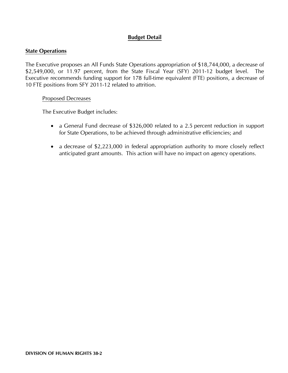## **Budget Detail**

## **State Operations**

The Executive proposes an All Funds State Operations appropriation of \$18,744,000, a decrease of \$2,549,000, or 11.97 percent, from the State Fiscal Year (SFY) 2011-12 budget level. The Executive recommends funding support for 178 full-time equivalent (FTE) positions, a decrease of 10 FTE positions from SFY 2011-12 related to attrition.

## Proposed Decreases

The Executive Budget includes:

- a General Fund decrease of \$326,000 related to a 2.5 percent reduction in support for State Operations, to be achieved through administrative efficiencies; and
- a decrease of \$2,223,000 in federal appropriation authority to more closely reflect anticipated grant amounts. This action will have no impact on agency operations.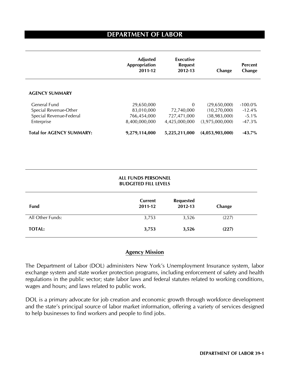# **DEPARTMENT OF LABOR**

|                                  | <b>Adjusted</b><br>Appropriation<br>2011-12 | Executive<br><b>Request</b><br>2012-13 | Change          | <b>Percent</b><br>Change |
|----------------------------------|---------------------------------------------|----------------------------------------|-----------------|--------------------------|
| <b>AGENCY SUMMARY</b>            |                                             |                                        |                 |                          |
| General Fund                     | 29,650,000                                  | $\mathbf{0}$                           | (29,650,000)    | $-100.0\%$               |
| Special Revenue-Other            | 83,010,000                                  | 72,740,000                             | (10, 270, 000)  | $-12.4%$                 |
| Special Revenue-Federal          | 766,454,000                                 | 727,471,000                            | (38,983,000)    | $-5.1\%$                 |
| Enterprise                       | 8,400,000,000                               | 4,425,000,000                          | (3,975,000,000) | $-47.3\%$                |
| <b>Total for AGENCY SUMMARY:</b> | 9,279,114,000                               | 5,225,211,000                          | (4,053,903,000) | $-43.7\%$                |

| ALL FUNDS PERSONNEL         |  |
|-----------------------------|--|
| <b>BUDGETED FILL LEVELS</b> |  |

| Fund             | Current<br>2011-12 | <b>Requested</b><br>2012-13 | Change |
|------------------|--------------------|-----------------------------|--------|
| All Other Funds: | 3,753              | 3,526                       | (227)  |
| <b>TOTAL:</b>    | 3,753              | 3,526                       | (227)  |

## **Agency Mission**

The Department of Labor (DOL) administers New York's Unemployment Insurance system, labor exchange system and state worker protection programs, including enforcement of safety and health regulations in the public sector; state labor laws and federal statutes related to working conditions, wages and hours; and laws related to public work.

DOL is a primary advocate for job creation and economic growth through workforce development and the state's principal source of labor market information, offering a variety of services designed to help businesses to find workers and people to find jobs.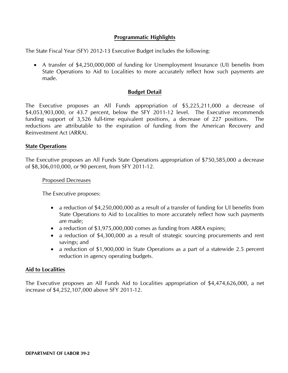## **Programmatic Highlights**

The State Fiscal Year (SFY) 2012-13 Executive Budget includes the following:

• A transfer of \$4,250,000,000 of funding for Unemployment Insurance (UI) benefits from State Operations to Aid to Localities to more accurately reflect how such payments are made.

## **Budget Detail**

The Executive proposes an All Funds appropriation of \$5,225,211,000 a decrease of \$4,053,903,000, or 43.7 percent, below the SFY 2011-12 level. The Executive recommends funding support of 3,526 full-time equivalent positions, a decrease of 227 positions. The reductions are attributable to the expiration of funding from the American Recovery and Reinvestment Act (ARRA).

## **State Operations**

The Executive proposes an All Funds State Operations appropriation of \$750,585,000 a decrease of \$8,306,010,000, or 90 percent, from SFY 2011-12.

#### Proposed Decreases

The Executive proposes:

- a reduction of \$4,250,000,000 as a result of a transfer of funding for UI benefits from State Operations to Aid to Localities to more accurately reflect how such payments are made;
- a reduction of \$3,975,000,000 comes as funding from ARRA expires;
- a reduction of \$4,300,000 as a result of strategic sourcing procurements and rent savings; and
- a reduction of \$1,900,000 in State Operations as a part of a statewide 2.5 percent reduction in agency operating budgets.

## **Aid to Localities**

The Executive proposes an All Funds Aid to Localities appropriation of \$4,474,626,000, a net increase of \$4,252,107,000 above SFY 2011-12.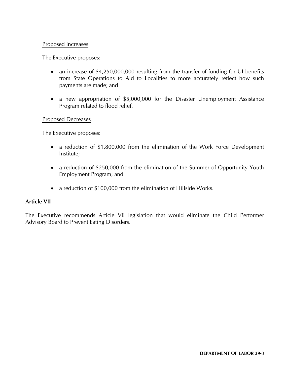## Proposed Increases

The Executive proposes:

- an increase of \$4,250,000,000 resulting from the transfer of funding for UI benefits from State Operations to Aid to Localities to more accurately reflect how such payments are made; and
- a new appropriation of \$5,000,000 for the Disaster Unemployment Assistance Program related to flood relief.

#### Proposed Decreases

The Executive proposes:

- a reduction of \$1,800,000 from the elimination of the Work Force Development Institute;
- a reduction of \$250,000 from the elimination of the Summer of Opportunity Youth Employment Program; and
- a reduction of \$100,000 from the elimination of Hillside Works.

## **Article VII**

The Executive recommends Article VII legislation that would eliminate the Child Performer Advisory Board to Prevent Eating Disorders.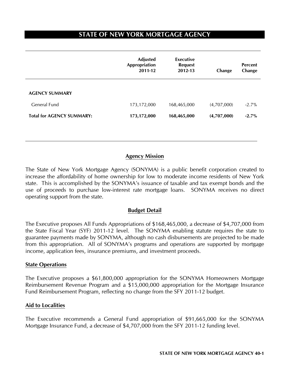# **STATE OF NEW YORK MORTGAGE AGENCY**

|                                  | <b>Adjusted</b><br>Appropriation<br>2011-12 | Executive<br><b>Request</b><br>2012-13 | Change      | <b>Percent</b><br>Change |
|----------------------------------|---------------------------------------------|----------------------------------------|-------------|--------------------------|
| <b>AGENCY SUMMARY</b>            |                                             |                                        |             |                          |
| General Fund                     | 173,172,000                                 | 168,465,000                            | (4,707,000) | $-2.7%$                  |
| <b>Total for AGENCY SUMMARY:</b> | 173,172,000                                 | 168,465,000                            | (4,707,000) | $-2.7%$                  |

#### **Agency Mission**

The State of New York Mortgage Agency (SONYMA) is a public benefit corporation created to increase the affordability of home ownership for low to moderate income residents of New York state. This is accomplished by the SONYMA's issuance of taxable and tax exempt bonds and the use of proceeds to purchase low-interest rate mortgage loans. SONYMA receives no direct operating support from the state.

## **Budget Detail**

The Executive proposes All Funds Appropriations of \$168,465,000, a decrease of \$4,707,000 from the State Fiscal Year (SYF) 2011-12 level. The SONYMA enabling statute requires the state to guarantee payments made by SONYMA, although no cash disbursements are projected to be made from this appropriation. All of SONYMA's programs and operations are supported by mortgage income, application fees, insurance premiums, and investment proceeds.

#### **State Operations**

The Executive proposes a \$61,800,000 appropriation for the SONYMA Homeowners Mortgage Reimbursement Revenue Program and a \$15,000,000 appropriation for the Mortgage Insurance Fund Reimbursement Program, reflecting no change from the SFY 2011-12 budget.

## **Aid to Localities**

The Executive recommends a General Fund appropriation of \$91,665,000 for the SONYMA Mortgage Insurance Fund, a decrease of \$4,707,000 from the SFY 2011-12 funding level.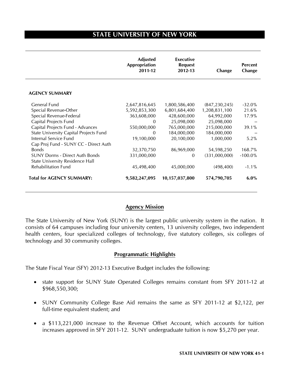# **STATE UNIVERSITY OF NEW YORK**

 $\overline{a}$ 

|                                        | <b>Adjusted</b><br>Appropriation<br>2011-12 | Executive<br><b>Request</b><br>2012-13 | Change          | <b>Percent</b><br>Change |
|----------------------------------------|---------------------------------------------|----------------------------------------|-----------------|--------------------------|
| <b>AGENCY SUMMARY</b>                  |                                             |                                        |                 |                          |
| General Fund                           | 2,647,816,645                               | 1,800,586,400                          | (847, 230, 245) | $-32.0%$                 |
| Special Revenue-Other                  | 5,592,853,300                               | 6,801,684,400                          | 1,208,831,100   | 21.6%                    |
| Special Revenue-Federal                | 363,608,000                                 | 428,600,000                            | 64,992,000      | 17.9%                    |
| Capital Projects Fund                  | $\Omega$                                    | 25,098,000                             | 25,098,000      |                          |
| Capital Projects Fund - Advances       | 550,000,000                                 | 765,000,000                            | 215,000,000     | 39.1%                    |
| State University Capital Projects Fund | $\Omega$                                    | 184,000,000                            | 184,000,000     |                          |
| Internal Service Fund                  | 19,100,000                                  | 20,100,000                             | 1,000,000       | 5.2%                     |
| Cap Proj Fund - SUNY CC - Direct Auth  |                                             |                                        |                 |                          |
| <b>Bonds</b>                           | 32,370,750                                  | 86,969,000                             | 54,598,250      | 168.7%                   |
| <b>SUNY Dorms - Direct Auth Bonds</b>  | 331,000,000                                 | $\mathbf{0}$                           | (331,000,000)   | $-100.0\%$               |
| State University Residence Hall        |                                             |                                        |                 |                          |
| <b>Rehabilitation Fund</b>             | 45,498,400                                  | 45,000,000                             | (498, 400)      | $-1.1\%$                 |
| <b>Total for AGENCY SUMMARY:</b>       | 9,582,247,095                               | 10,157,037,800                         | 574,790,705     | $6.0\%$                  |

#### **Agency Mission**

The State University of New York (SUNY) is the largest public university system in the nation. It consists of 64 campuses including four university centers, 13 university colleges, two independent health centers, four specialized colleges of technology, five statutory colleges, six colleges of technology and 30 community colleges.

## **Programmatic Highlights**

The State Fiscal Year (SFY) 2012-13 Executive Budget includes the following:

- state support for SUNY State Operated Colleges remains constant from SFY 2011-12 at \$968,550,300;
- SUNY Community College Base Aid remains the same as SFY 2011-12 at \$2,122, per full-time equivalent student; and
- a \$113,221,000 increase to the Revenue Offset Account, which accounts for tuition increases approved in SFY 2011-12. SUNY undergraduate tuition is now \$5,270 per year.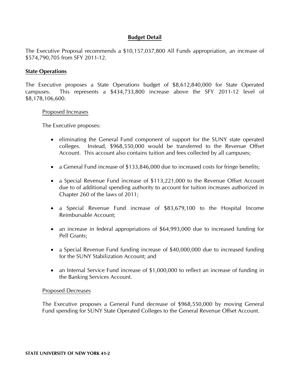## **Budget Detail**

The Executive Proposal recommends a \$10,157,037,800 All Funds appropriation, an increase of \$574,790,705 from SFY 2011-12.

#### **State Operations**

The Executive proposes a State Operations budget of \$8,612,840,000 for State Operated campuses. This represents a \$434,733,800 increase above the SFY 2011-12 level of \$8,178,106,600.

#### Proposed Increases

The Executive proposes:

- eliminating the General Fund component of support for the SUNY state operated colleges. Instead, \$968,550,000 would be transferred to the Revenue Offset Account. This account also contains tuition and fees collected by all campuses;
- a General Fund increase of \$133,846,000 due to increased costs for fringe benefits;
- a Special Revenue Fund increase of \$113,221,000 to the Revenue Offset Account due to of additional spending authority to account for tuition increases authorized in Chapter 260 of the laws of 2011;
- a Special Revenue Fund increase of \$83,679,100 to the Hospital Income Reimbursable Account;
- an increase in federal appropriations of \$64,993,000 due to increased funding for Pell Grants;
- a Special Revenue Fund funding increase of \$40,000,000 due to increased funding for the SUNY Stabilization Account; and
- an Internal Service Fund increase of \$1,000,000 to reflect an increase of funding in the Banking Services Account.

#### Proposed Decreases

 The Executive proposes a General Fund decrease of \$968,550,000 by moving General Fund spending for SUNY State Operated Colleges to the General Revenue Offset Account.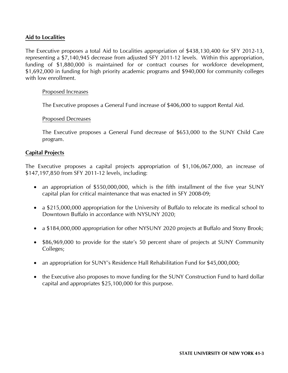## **Aid to Localities**

The Executive proposes a total Aid to Localities appropriation of \$438,130,400 for SFY 2012-13, representing a \$7,140,945 decrease from adjusted SFY 2011-12 levels. Within this appropriation, funding of \$1,880,000 is maintained for or contract courses for workforce development, \$1,692,000 in funding for high priority academic programs and \$940,000 for community colleges with low enrollment.

## Proposed Increases

The Executive proposes a General Fund increase of \$406,000 to support Rental Aid.

#### Proposed Decreases

The Executive proposes a General Fund decrease of \$653,000 to the SUNY Child Care program.

## **Capital Projects**

The Executive proposes a capital projects appropriation of \$1,106,067,000, an increase of \$147,197,850 from SFY 2011-12 levels, including:

- an appropriation of \$550,000,000, which is the fifth installment of the five year SUNY capital plan for critical maintenance that was enacted in SFY 2008-09;
- a \$215,000,000 appropriation for the University of Buffalo to relocate its medical school to Downtown Buffalo in accordance with NYSUNY 2020;
- a \$184,000,000 appropriation for other NYSUNY 2020 projects at Buffalo and Stony Brook;
- \$86,969,000 to provide for the state's 50 percent share of projects at SUNY Community Colleges;
- an appropriation for SUNY's Residence Hall Rehabilitation Fund for \$45,000,000;
- the Executive also proposes to move funding for the SUNY Construction Fund to hard dollar capital and appropriates \$25,100,000 for this purpose.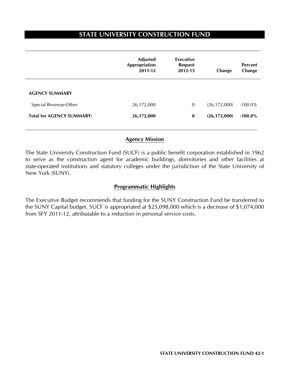# **STATE UNIVERSITY CONSTRUCTION FUND**

|                                  | <b>Adjusted</b><br>Appropriation<br>2011-12 | <b>Executive</b><br><b>Request</b><br>2012-13 | Change         | <b>Percent</b><br>Change |
|----------------------------------|---------------------------------------------|-----------------------------------------------|----------------|--------------------------|
| <b>AGENCY SUMMARY</b>            |                                             |                                               |                |                          |
| Special Revenue-Other            | 26,172,000                                  | 0                                             | (26, 172, 000) | $-100.0\%$               |
| <b>Total for AGENCY SUMMARY:</b> | 26,172,000                                  | $\bf{0}$                                      | (26, 172, 000) | $-100.0\%$               |
|                                  |                                             |                                               |                |                          |

## **Agency Mission**

The State University Construction Fund (SUCF) is a public benefit corporation established in 1962 to serve as the construction agent for academic buildings, dormitories and other facilities at state-operated institutions and statutory colleges under the jurisdiction of the State University of New York (SUNY).

## **Programmatic Highlights**

The Executive Budget recommends that funding for the SUNY Construction Fund be transferred to the SUNY Capital budget. SUCF is appropriated at \$25,098,000 which is a decrease of \$1,074,000 from SFY 2011-12, attributable to a reduction in personal service costs.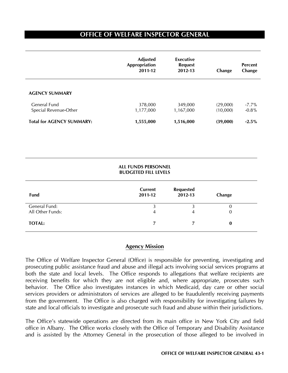# **OFFICE OF WELFARE INSPECTOR GENERAL**

 $\overline{a}$ 

|                                       | <b>Adjusted</b><br>Appropriation<br>2011-12 | Executive<br><b>Request</b><br>2012-13 | Change               | <b>Percent</b><br>Change |
|---------------------------------------|---------------------------------------------|----------------------------------------|----------------------|--------------------------|
| <b>AGENCY SUMMARY</b>                 |                                             |                                        |                      |                          |
| General Fund<br>Special Revenue-Other | 378,000<br>1,177,000                        | 349,000<br>1,167,000                   | (29,000)<br>(10,000) | $-7.7\%$<br>$-0.8%$      |
| <b>Total for AGENCY SUMMARY:</b>      | 1,555,000                                   | 1,516,000                              | (39,000)             | $-2.5%$                  |

#### **ALL FUNDS PERSONNEL BUDGETED FILL LEVELS**

| Fund             | Current<br>2011-12 | <b>Requested</b><br>2012-13 | Change |
|------------------|--------------------|-----------------------------|--------|
| General Fund:    |                    |                             | O      |
| All Other Funds: | 4                  | 4                           | 0      |
| <b>TOTAL:</b>    |                    |                             | 0      |

## **Agency Mission**

The Office of Welfare Inspector General (Office) is responsible for preventing, investigating and prosecuting public assistance fraud and abuse and illegal acts involving social services programs at both the state and local levels. The Office responds to allegations that welfare recipients are receiving benefits for which they are not eligible and, where appropriate, prosecutes such behavior. The Office also investigates instances in which Medicaid, day care or other social services providers or administrators of services are alleged to be fraudulently receiving payments from the government. The Office is also charged with responsibility for investigating failures by state and local officials to investigate and prosecute such fraud and abuse within their jurisdictions.

The Office's statewide operations are directed from its main office in New York City and field office in Albany. The Office works closely with the Office of Temporary and Disability Assistance and is assisted by the Attorney General in the prosecution of those alleged to be involved in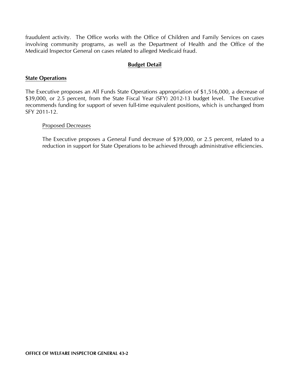fraudulent activity. The Office works with the Office of Children and Family Services on cases involving community programs, as well as the Department of Health and the Office of the Medicaid Inspector General on cases related to alleged Medicaid fraud.

## **Budget Detail**

#### **State Operations**

The Executive proposes an All Funds State Operations appropriation of \$1,516,000, a decrease of \$39,000, or 2.5 percent, from the State Fiscal Year (SFY) 2012-13 budget level. The Executive recommends funding for support of seven full-time equivalent positions, which is unchanged from SFY 2011-12.

#### Proposed Decreases

The Executive proposes a General Fund decrease of \$39,000, or 2.5 percent, related to a reduction in support for State Operations to be achieved through administrative efficiencies.